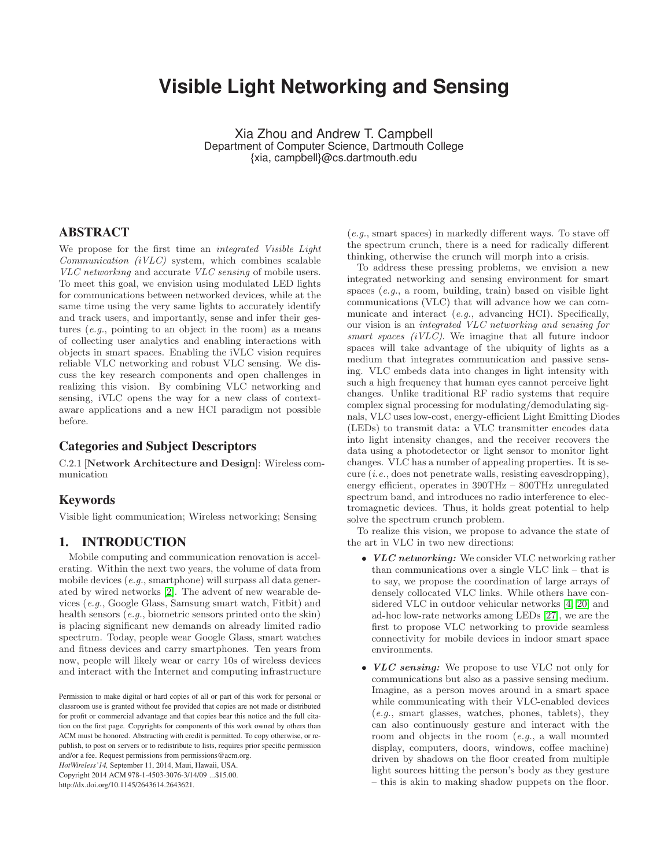# **Visible Light Networking and Sensing**

Xia Zhou and Andrew T. Campbell Department of Computer Science, Dartmouth College {xia, campbell}@cs.dartmouth.edu

# **ABSTRACT**

We propose for the first time an integrated Visible Light  $Communication (i VLC)$  system, which combines scalable VLC networking and accurate VLC sensing of mobile users. To meet this goal, we envision using modulated LED lights for communications between networked devices, while at the same time using the very same lights to accurately identify and track users, and importantly, sense and infer their gestures  $(e.g.,$  pointing to an object in the room) as a means of collecting user analytics and enabling interactions with objects in smart spaces. Enabling the iVLC vision requires reliable VLC networking and robust VLC sensing. We discuss the key research components and open challenges in realizing this vision. By combining VLC networking and sensing, iVLC opens the way for a new class of contextaware applications and a new HCI paradigm not possible before.

### **Categories and Subject Descriptors**

C.2.1 [Network Architecture and Design]: Wireless communication

### **Keywords**

Visible light communication; Wireless networking; Sensing

# **1. INTRODUCTION**

Mobile computing and communication renovation is accelerating. Within the next two years, the volume of data from mobile devices (e.g., smartphone) will surpass all data generated by wired networks [\[2\]](#page-4-0). The advent of new wearable devices (e.g., Google Glass, Samsung smart watch, Fitbit) and health sensors (e.g., biometric sensors printed onto the skin) is placing significant new demands on already limited radio spectrum. Today, people wear Google Glass, smart watches and fitness devices and carry smartphones. Ten years from now, people will likely wear or carry 10s of wireless devices and interact with the Internet and computing infrastructure

*HotWireless'14,* September 11, 2014, Maui, Hawaii, USA. Copyright 2014 ACM 978-1-4503-3076-3/14/09 ...\$15.00. http://dx.doi.org/10.1145/2643614.2643621.

(e.g., smart spaces) in markedly different ways. To stave off the spectrum crunch, there is a need for radically different thinking, otherwise the crunch will morph into a crisis.

To address these pressing problems, we envision a new integrated networking and sensing environment for smart spaces (e.g., a room, building, train) based on visible light communications (VLC) that will advance how we can communicate and interact (e.g., advancing HCI). Specifically, our vision is an integrated VLC networking and sensing for smart spaces (iVLC). We imagine that all future indoor spaces will take advantage of the ubiquity of lights as a medium that integrates communication and passive sensing. VLC embeds data into changes in light intensity with such a high frequency that human eyes cannot perceive light changes. Unlike traditional RF radio systems that require complex signal processing for modulating/demodulating signals, VLC uses low-cost, energy-efficient Light Emitting Diodes (LEDs) to transmit data: a VLC transmitter encodes data into light intensity changes, and the receiver recovers the data using a photodetector or light sensor to monitor light changes. VLC has a number of appealing properties. It is secure  $(i.e.,$  does not penetrate walls, resisting eavesdropping), energy efficient, operates in 390THz – 800THz unregulated spectrum band, and introduces no radio interference to electromagnetic devices. Thus, it holds great potential to help solve the spectrum crunch problem.

To realize this vision, we propose to advance the state of the art in VLC in two new directions:

- *VLC networking:* We consider VLC networking rather than communications over a single VLC link – that is to say, we propose the coordination of large arrays of densely collocated VLC links. While others have considered VLC in outdoor vehicular networks [\[4,](#page-4-1) [20\]](#page-4-2) and ad-hoc low-rate networks among LEDs [\[27\]](#page-4-3), we are the first to propose VLC networking to provide seamless connectivity for mobile devices in indoor smart space environments.
- *VLC sensing:* We propose to use VLC not only for communications but also as a passive sensing medium. Imagine, as a person moves around in a smart space while communicating with their VLC-enabled devices (e.g., smart glasses, watches, phones, tablets), they can also continuously gesture and interact with the room and objects in the room (e.g., a wall mounted display, computers, doors, windows, coffee machine) driven by shadows on the floor created from multiple light sources hitting the person's body as they gesture – this is akin to making shadow puppets on the floor.

Permission to make digital or hard copies of all or part of this work for personal or classroom use is granted without fee provided that copies are not made or distributed for profit or commercial advantage and that copies bear this notice and the full citation on the first page. Copyrights for components of this work owned by others than ACM must be honored. Abstracting with credit is permitted. To copy otherwise, or republish, to post on servers or to redistribute to lists, requires prior specific permission and/or a fee. Request permissions from permissions@acm.org.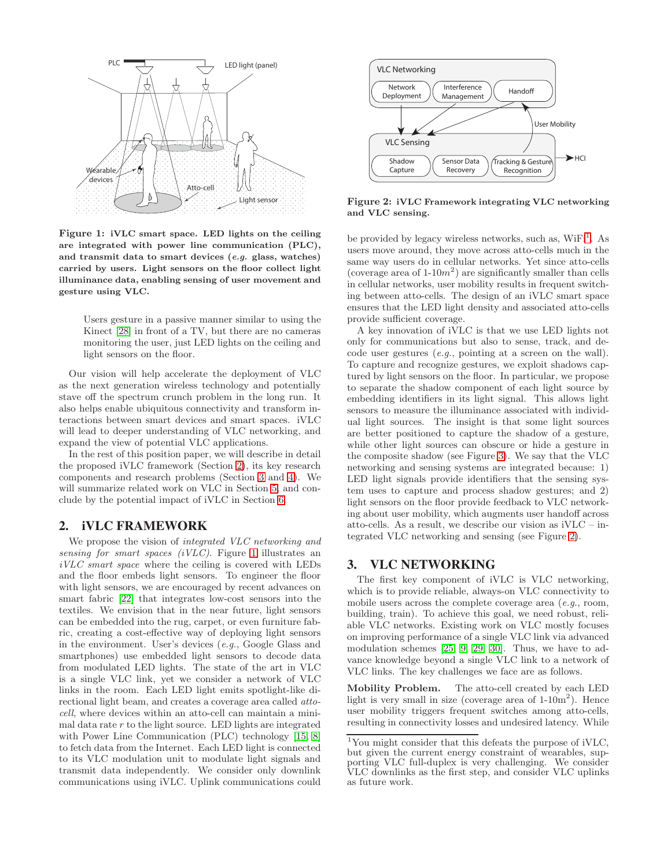

<span id="page-1-2"></span>Figure 1: iVLC smart space. LED lights on the ceiling are integrated with power line communication (PLC), and transmit data to smart devices (*e.g.* glass, watches) carried by users. Light sensors on the floor collect light illuminance data, enabling sensing of user movement and gesture using VLC.

Users gesture in a passive manner similar to using the Kinect [\[28\]](#page-4-4) in front of a TV, but there are no cameras monitoring the user, just LED lights on the ceiling and light sensors on the floor.

Our vision will help accelerate the deployment of VLC as the next generation wireless technology and potentially stave off the spectrum crunch problem in the long run. It also helps enable ubiquitous connectivity and transform interactions between smart devices and smart spaces. iVLC will lead to deeper understanding of VLC networking, and expand the view of potential VLC applications.

In the rest of this position paper, we will describe in detail the proposed iVLC framework (Section [2\)](#page-1-0), its key research components and research problems (Section [3](#page-1-1) and [4\)](#page-2-0). We will summarize related work on VLC in Section [5,](#page-3-0) and conclude by the potential impact of iVLC in Section [6.](#page-4-5)

# <span id="page-1-0"></span>**2. iVLC FRAMEWORK**

We propose the vision of integrated VLC networking and sensing for smart spaces  $(iVLC)$ . Figure [1](#page-1-2) illustrates an  $iVLC$  smart space where the ceiling is covered with LEDs and the floor embeds light sensors. To engineer the floor with light sensors, we are encouraged by recent advances on smart fabric [\[22\]](#page-4-6) that integrates low-cost sensors into the textiles. We envision that in the near future, light sensors can be embedded into the rug, carpet, or even furniture fabric, creating a cost-effective way of deploying light sensors in the environment. User's devices (e.g., Google Glass and smartphones) use embedded light sensors to decode data from modulated LED lights. The state of the art in VLC is a single VLC link, yet we consider a network of VLC links in the room. Each LED light emits spotlight-like directional light beam, and creates a coverage area called attocell, where devices within an atto-cell can maintain a minimal data rate  $r$  to the light source. LED lights are integrated with Power Line Communication (PLC) technology [\[15,](#page-4-7) [8\]](#page-4-8) to fetch data from the Internet. Each LED light is connected to its VLC modulation unit to modulate light signals and transmit data independently. We consider only downlink communications using iVLC. Uplink communications could



<span id="page-1-4"></span>Figure 2: iVLC Framework integrating VLC networking and VLC sensing.

be provided by legacy wireless networks, such as,  $WiFi<sup>1</sup>$  $WiFi<sup>1</sup>$  $WiFi<sup>1</sup>$ . As users move around, they move across atto-cells much in the same way users do in cellular networks. Yet since atto-cells (coverage area of  $1\n-10m^2$ ) are significantly smaller than cells in cellular networks, user mobility results in frequent switching between atto-cells. The design of an iVLC smart space ensures that the LED light density and associated atto-cells provide sufficient coverage.

A key innovation of iVLC is that we use LED lights not only for communications but also to sense, track, and decode user gestures (e.g., pointing at a screen on the wall). To capture and recognize gestures, we exploit shadows captured by light sensors on the floor. In particular, we propose to separate the shadow component of each light source by embedding identifiers in its light signal. This allows light sensors to measure the illuminance associated with individual light sources. The insight is that some light sources are better positioned to capture the shadow of a gesture, while other light sources can obscure or hide a gesture in the composite shadow (see Figure [3\)](#page-2-1). We say that the VLC networking and sensing systems are integrated because: 1) LED light signals provide identifiers that the sensing system uses to capture and process shadow gestures; and 2) light sensors on the floor provide feedback to VLC networking about user mobility, which augments user handoff across atto-cells. As a result, we describe our vision as iVLC – integrated VLC networking and sensing (see Figure [2\)](#page-1-4).

#### <span id="page-1-1"></span>**3. VLC NETWORKING**

The first key component of iVLC is VLC networking, which is to provide reliable, always-on VLC connectivity to mobile users across the complete coverage area (e.g., room, building, train). To achieve this goal, we need robust, reliable VLC networks. Existing work on VLC mostly focuses on improving performance of a single VLC link via advanced modulation schemes [\[25,](#page-4-9) [9,](#page-4-10) [29,](#page-4-11) [30\]](#page-4-12). Thus, we have to advance knowledge beyond a single VLC link to a network of VLC links. The key challenges we face are as follows.

Mobility Problem. The atto-cell created by each LED light is very small in size (coverage area of  $1\n-10m^2$ ). Hence user mobility triggers frequent switches among atto-cells, resulting in connectivity losses and undesired latency. While

<span id="page-1-3"></span><sup>&</sup>lt;sup>1</sup>You might consider that this defeats the purpose of iVLC, but given the current energy constraint of wearables, supporting VLC full-duplex is very challenging. We consider VLC downlinks as the first step, and consider VLC uplinks as future work.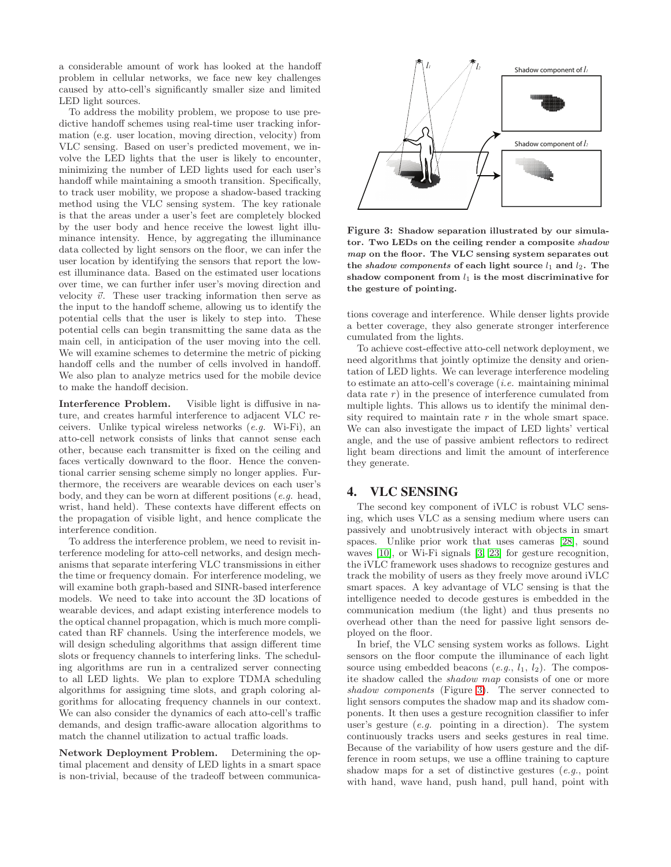a considerable amount of work has looked at the handoff problem in cellular networks, we face new key challenges caused by atto-cell's significantly smaller size and limited LED light sources.

To address the mobility problem, we propose to use predictive handoff schemes using real-time user tracking information (e.g. user location, moving direction, velocity) from VLC sensing. Based on user's predicted movement, we involve the LED lights that the user is likely to encounter, minimizing the number of LED lights used for each user's handoff while maintaining a smooth transition. Specifically, to track user mobility, we propose a shadow-based tracking method using the VLC sensing system. The key rationale is that the areas under a user's feet are completely blocked by the user body and hence receive the lowest light illuminance intensity. Hence, by aggregating the illuminance data collected by light sensors on the floor, we can infer the user location by identifying the sensors that report the lowest illuminance data. Based on the estimated user locations over time, we can further infer user's moving direction and velocity  $\vec{v}$ . These user tracking information then serve as the input to the handoff scheme, allowing us to identify the potential cells that the user is likely to step into. These potential cells can begin transmitting the same data as the main cell, in anticipation of the user moving into the cell. We will examine schemes to determine the metric of picking handoff cells and the number of cells involved in handoff. We also plan to analyze metrics used for the mobile device to make the handoff decision.

Interference Problem. Visible light is diffusive in nature, and creates harmful interference to adjacent VLC receivers. Unlike typical wireless networks (e.g. Wi-Fi), an atto-cell network consists of links that cannot sense each other, because each transmitter is fixed on the ceiling and faces vertically downward to the floor. Hence the conventional carrier sensing scheme simply no longer applies. Furthermore, the receivers are wearable devices on each user's body, and they can be worn at different positions (e.g. head, wrist, hand held). These contexts have different effects on the propagation of visible light, and hence complicate the interference condition.

To address the interference problem, we need to revisit interference modeling for atto-cell networks, and design mechanisms that separate interfering VLC transmissions in either the time or frequency domain. For interference modeling, we will examine both graph-based and SINR-based interference models. We need to take into account the 3D locations of wearable devices, and adapt existing interference models to the optical channel propagation, which is much more complicated than RF channels. Using the interference models, we will design scheduling algorithms that assign different time slots or frequency channels to interfering links. The scheduling algorithms are run in a centralized server connecting to all LED lights. We plan to explore TDMA scheduling algorithms for assigning time slots, and graph coloring algorithms for allocating frequency channels in our context. We can also consider the dynamics of each atto-cell's traffic demands, and design traffic-aware allocation algorithms to match the channel utilization to actual traffic loads.

Network Deployment Problem. Determining the optimal placement and density of LED lights in a smart space is non-trivial, because of the tradeoff between communica-



<span id="page-2-1"></span>Figure 3: Shadow separation illustrated by our simulator. Two LEDs on the ceiling render a composite *shadow map* on the floor. The VLC sensing system separates out the *shadow components* of each light source  $l_1$  and  $l_2$ . The shadow component from  $l_1$  is the most discriminative for the gesture of pointing.

tions coverage and interference. While denser lights provide a better coverage, they also generate stronger interference cumulated from the lights.

To achieve cost-effective atto-cell network deployment, we need algorithms that jointly optimize the density and orientation of LED lights. We can leverage interference modeling to estimate an atto-cell's coverage  $(i.e.$  maintaining minimal data rate  $r$ ) in the presence of interference cumulated from multiple lights. This allows us to identify the minimal density required to maintain rate  $r$  in the whole smart space. We can also investigate the impact of LED lights' vertical angle, and the use of passive ambient reflectors to redirect light beam directions and limit the amount of interference they generate.

## <span id="page-2-0"></span>**4. VLC SENSING**

The second key component of iVLC is robust VLC sensing, which uses VLC as a sensing medium where users can passively and unobtrusively interact with objects in smart spaces. Unlike prior work that uses cameras [\[28\]](#page-4-4), sound waves [\[10\]](#page-4-13), or Wi-Fi signals [\[3,](#page-4-14) [23\]](#page-4-15) for gesture recognition, the iVLC framework uses shadows to recognize gestures and track the mobility of users as they freely move around iVLC smart spaces. A key advantage of VLC sensing is that the intelligence needed to decode gestures is embedded in the communication medium (the light) and thus presents no overhead other than the need for passive light sensors deployed on the floor.

In brief, the VLC sensing system works as follows. Light sensors on the floor compute the illuminance of each light source using embedded beacons  $(e,q, l_1, l_2)$ . The composite shadow called the shadow map consists of one or more shadow components (Figure [3\)](#page-2-1). The server connected to light sensors computes the shadow map and its shadow components. It then uses a gesture recognition classifier to infer user's gesture (e.g. pointing in a direction). The system continuously tracks users and seeks gestures in real time. Because of the variability of how users gesture and the difference in room setups, we use a offline training to capture shadow maps for a set of distinctive gestures (e.g., point with hand, wave hand, push hand, pull hand, point with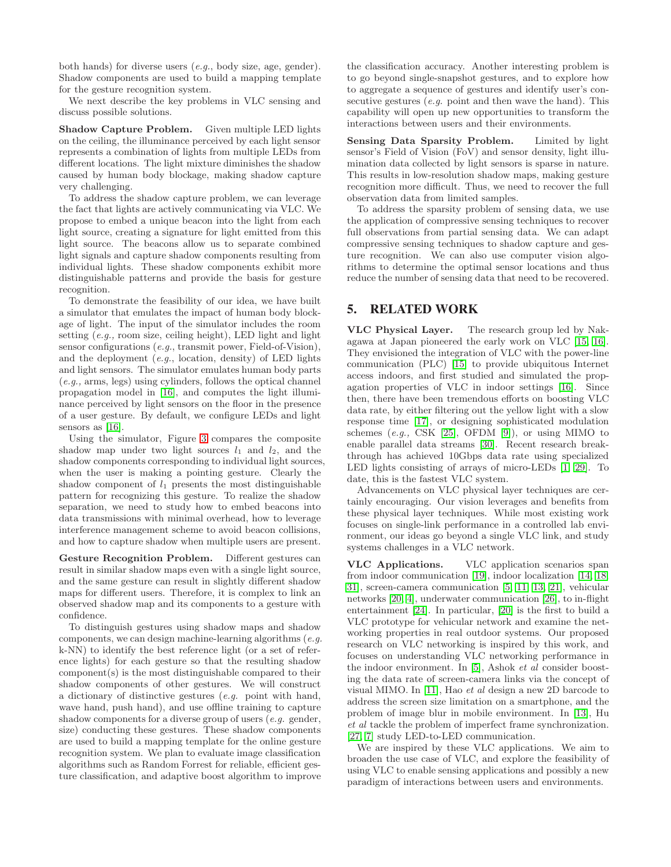both hands) for diverse users (e.g., body size, age, gender). Shadow components are used to build a mapping template for the gesture recognition system.

We next describe the key problems in VLC sensing and discuss possible solutions.

Shadow Capture Problem. Given multiple LED lights on the ceiling, the illuminance perceived by each light sensor represents a combination of lights from multiple LEDs from different locations. The light mixture diminishes the shadow caused by human body blockage, making shadow capture very challenging.

To address the shadow capture problem, we can leverage the fact that lights are actively communicating via VLC. We propose to embed a unique beacon into the light from each light source, creating a signature for light emitted from this light source. The beacons allow us to separate combined light signals and capture shadow components resulting from individual lights. These shadow components exhibit more distinguishable patterns and provide the basis for gesture recognition.

To demonstrate the feasibility of our idea, we have built a simulator that emulates the impact of human body blockage of light. The input of the simulator includes the room setting (e.g., room size, ceiling height), LED light and light sensor configurations (e.g., transmit power, Field-of-Vision), and the deployment (e.g., location, density) of LED lights and light sensors. The simulator emulates human body parts (e.g., arms, legs) using cylinders, follows the optical channel propagation model in [\[16\]](#page-4-16), and computes the light illuminance perceived by light sensors on the floor in the presence of a user gesture. By default, we configure LEDs and light sensors as [\[16\]](#page-4-16).

Using the simulator, Figure [3](#page-2-1) compares the composite shadow map under two light sources  $l_1$  and  $l_2$ , and the shadow components corresponding to individual light sources, when the user is making a pointing gesture. Clearly the shadow component of  $l_1$  presents the most distinguishable pattern for recognizing this gesture. To realize the shadow separation, we need to study how to embed beacons into data transmissions with minimal overhead, how to leverage interference management scheme to avoid beacon collisions, and how to capture shadow when multiple users are present.

Gesture Recognition Problem. Different gestures can result in similar shadow maps even with a single light source, and the same gesture can result in slightly different shadow maps for different users. Therefore, it is complex to link an observed shadow map and its components to a gesture with confidence.

To distinguish gestures using shadow maps and shadow components, we can design machine-learning algorithms  $(e.g.,)$ k-NN) to identify the best reference light (or a set of reference lights) for each gesture so that the resulting shadow component(s) is the most distinguishable compared to their shadow components of other gestures. We will construct a dictionary of distinctive gestures (e.g. point with hand, wave hand, push hand), and use offline training to capture shadow components for a diverse group of users (e.g. gender, size) conducting these gestures. These shadow components are used to build a mapping template for the online gesture recognition system. We plan to evaluate image classification algorithms such as Random Forrest for reliable, efficient gesture classification, and adaptive boost algorithm to improve

the classification accuracy. Another interesting problem is to go beyond single-snapshot gestures, and to explore how to aggregate a sequence of gestures and identify user's consecutive gestures  $(e,q)$  point and then wave the hand). This capability will open up new opportunities to transform the interactions between users and their environments.

Sensing Data Sparsity Problem. Limited by light sensor's Field of Vision (FoV) and sensor density, light illumination data collected by light sensors is sparse in nature. This results in low-resolution shadow maps, making gesture recognition more difficult. Thus, we need to recover the full observation data from limited samples.

To address the sparsity problem of sensing data, we use the application of compressive sensing techniques to recover full observations from partial sensing data. We can adapt compressive sensing techniques to shadow capture and gesture recognition. We can also use computer vision algorithms to determine the optimal sensor locations and thus reduce the number of sensing data that need to be recovered.

# <span id="page-3-0"></span>**5. RELATED WORK**

VLC Physical Layer. The research group led by Nakagawa at Japan pioneered the early work on VLC [\[15,](#page-4-7) [16\]](#page-4-16). They envisioned the integration of VLC with the power-line communication (PLC) [\[15\]](#page-4-7) to provide ubiquitous Internet access indoors, and first studied and simulated the propagation properties of VLC in indoor settings [\[16\]](#page-4-16). Since then, there have been tremendous efforts on boosting VLC data rate, by either filtering out the yellow light with a slow response time [\[17\]](#page-4-17), or designing sophisticated modulation schemes  $(e.g., \text{CSK} [25], \text{OFDM} [9]),$  $(e.g., \text{CSK} [25], \text{OFDM} [9]),$  $(e.g., \text{CSK} [25], \text{OFDM} [9]),$  $(e.g., \text{CSK} [25], \text{OFDM} [9]),$  $(e.g., \text{CSK} [25], \text{OFDM} [9]),$  or using MIMO to enable parallel data streams [\[30\]](#page-4-12). Recent research breakthrough has achieved 10Gbps data rate using specialized LED lights consisting of arrays of micro-LEDs [\[1,](#page-4-18) [29\]](#page-4-11). To date, this is the fastest VLC system.

Advancements on VLC physical layer techniques are certainly encouraging. Our vision leverages and benefits from these physical layer techniques. While most existing work focuses on single-link performance in a controlled lab environment, our ideas go beyond a single VLC link, and study systems challenges in a VLC network.

VLC Applications. VLC application scenarios span from indoor communication [\[19\]](#page-4-19), indoor localization [\[14,](#page-4-20) [18,](#page-4-21) [31\]](#page-4-22), screen-camera communication [\[5,](#page-4-23) [11,](#page-4-24) [13,](#page-4-25) [21\]](#page-4-26), vehicular networks [\[20,](#page-4-2) [4\]](#page-4-1), underwater communication [\[26\]](#page-4-27), to in-flight entertainment [\[24\]](#page-4-28). In particular, [\[20\]](#page-4-2) is the first to build a VLC prototype for vehicular network and examine the networking properties in real outdoor systems. Our proposed research on VLC networking is inspired by this work, and focuses on understanding VLC networking performance in the indoor environment. In [\[5\]](#page-4-23), Ashok et al consider boosting the data rate of screen-camera links via the concept of visual MIMO. In [\[11\]](#page-4-24), Hao et al design a new 2D barcode to address the screen size limitation on a smartphone, and the problem of image blur in mobile environment. In [\[13\]](#page-4-25), Hu et al tackle the problem of imperfect frame synchronization. [\[27,](#page-4-3) [7\]](#page-4-29) study LED-to-LED communication.

We are inspired by these VLC applications. We aim to broaden the use case of VLC, and explore the feasibility of using VLC to enable sensing applications and possibly a new paradigm of interactions between users and environments.